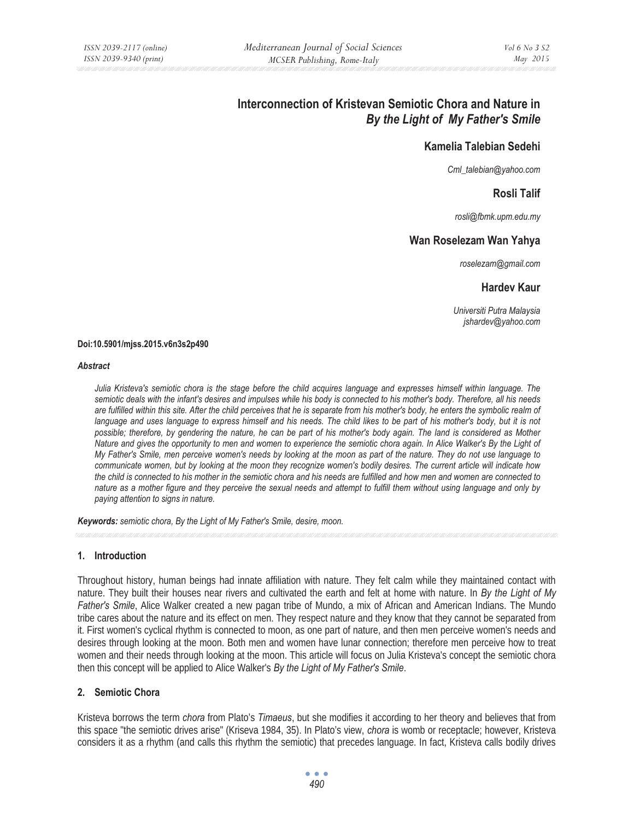# **Interconnection of Kristevan Semiotic Chora and Nature in**  *By the Light of My Father's Smile*

# **Kamelia Talebian Sedehi**

*Cml\_talebian@yahoo.com* 

## **Rosli Talif**

*rosli@fbmk.upm.edu.my* 

## **Wan Roselezam Wan Yahya**

*roselezam@gmail.com* 

#### **Hardev Kaur**

*Universiti Putra Malaysia jshardev@yahoo.com* 

#### **Doi:10.5901/mjss.2015.v6n3s2p490**

#### *Abstract*

*Julia Kristeva's semiotic chora is the stage before the child acquires language and expresses himself within language. The semiotic deals with the infant's desires and impulses while his body is connected to his mother's body. Therefore, all his needs*  are fulfilled within this site. After the child perceives that he is separate from his mother's body, he enters the symbolic realm of language and uses language to express himself and his needs. The child likes to be part of his mother's body, but it is not *possible; therefore, by gendering the nature, he can be part of his mother's body again. The land is considered as Mother Nature and gives the opportunity to men and women to experience the semiotic chora again. In Alice Walker's By the Light of My Father's Smile, men perceive women's needs by looking at the moon as part of the nature. They do not use language to communicate women, but by looking at the moon they recognize women's bodily desires. The current article will indicate how the child is connected to his mother in the semiotic chora and his needs are fulfilled and how men and women are connected to nature as a mother figure and they perceive the sexual needs and attempt to fulfill them without using language and only by paying attention to signs in nature.* 

*Keywords: semiotic chora, By the Light of My Father's Smile, desire, moon.*

## **1. Introduction**

Throughout history, human beings had innate affiliation with nature. They felt calm while they maintained contact with nature. They built their houses near rivers and cultivated the earth and felt at home with nature. In *By the Light of My Father's Smile*, Alice Walker created a new pagan tribe of Mundo, a mix of African and American Indians. The Mundo tribe cares about the nature and its effect on men. They respect nature and they know that they cannot be separated from it. First women's cyclical rhythm is connected to moon, as one part of nature, and then men perceive women's needs and desires through looking at the moon. Both men and women have lunar connection; therefore men perceive how to treat women and their needs through looking at the moon. This article will focus on Julia Kristeva's concept the semiotic chora then this concept will be applied to Alice Walker's *By the Light of My Father's Smile*.

## **2. Semiotic Chora**

Kristeva borrows the term *chora* from Plato's *Timaeus*, but she modifies it according to her theory and believes that from this space "the semiotic drives arise" (Kriseva 1984, 35). In Plato's view, *chora* is womb or receptacle; however, Kristeva considers it as a rhythm (and calls this rhythm the semiotic) that precedes language. In fact, Kristeva calls bodily drives

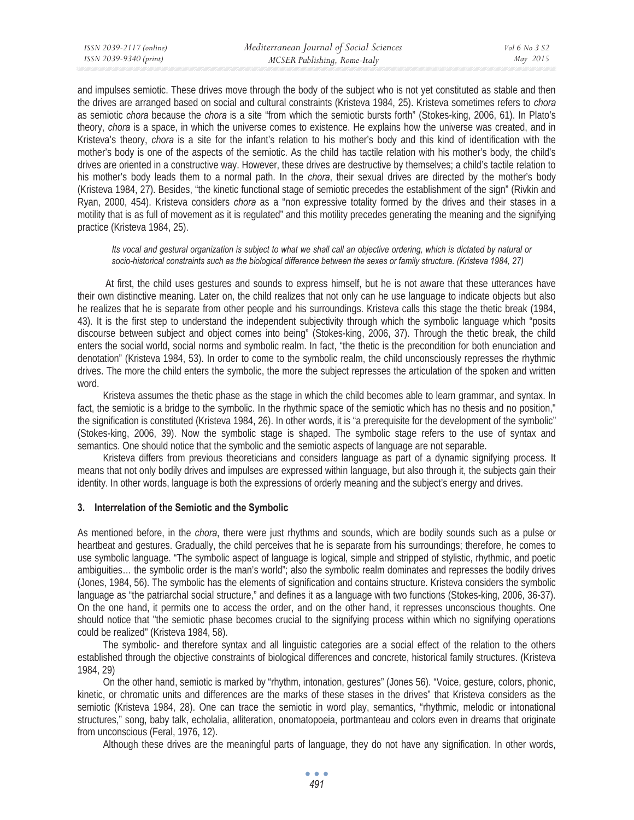and impulses semiotic. These drives move through the body of the subject who is not yet constituted as stable and then the drives are arranged based on social and cultural constraints (Kristeva 1984, 25). Kristeva sometimes refers to *chora* as semiotic *chora* because the *chora* is a site "from which the semiotic bursts forth" (Stokes-king, 2006, 61). In Plato's theory, *chora* is a space, in which the universe comes to existence. He explains how the universe was created, and in Kristeva's theory, *chora* is a site for the infant's relation to his mother's body and this kind of identification with the mother's body is one of the aspects of the semiotic. As the child has tactile relation with his mother's body, the child's drives are oriented in a constructive way. However, these drives are destructive by themselves; a child's tactile relation to his mother's body leads them to a normal path. In the *chora*, their sexual drives are directed by the mother's body (Kristeva 1984, 27). Besides, "the kinetic functional stage of semiotic precedes the establishment of the sign" (Rivkin and Ryan, 2000, 454). Kristeva considers *chora* as a "non expressive totality formed by the drives and their stases in a motility that is as full of movement as it is regulated" and this motility precedes generating the meaning and the signifying practice (Kristeva 1984, 25).

#### *Its vocal and gestural organization is subject to what we shall call an objective ordering, which is dictated by natural or socio-historical constraints such as the biological difference between the sexes or family structure. (Kristeva 1984, 27)*

 At first, the child uses gestures and sounds to express himself, but he is not aware that these utterances have their own distinctive meaning. Later on, the child realizes that not only can he use language to indicate objects but also he realizes that he is separate from other people and his surroundings. Kristeva calls this stage the thetic break (1984, 43). It is the first step to understand the independent subjectivity through which the symbolic language which "posits discourse between subject and object comes into being" (Stokes-king, 2006, 37). Through the thetic break, the child enters the social world, social norms and symbolic realm. In fact, "the thetic is the precondition for both enunciation and denotation" (Kristeva 1984, 53). In order to come to the symbolic realm, the child unconsciously represses the rhythmic drives. The more the child enters the symbolic, the more the subject represses the articulation of the spoken and written word.

Kristeva assumes the thetic phase as the stage in which the child becomes able to learn grammar, and syntax. In fact, the semiotic is a bridge to the symbolic. In the rhythmic space of the semiotic which has no thesis and no position," the signification is constituted (Kristeva 1984, 26). In other words, it is "a prerequisite for the development of the symbolic" (Stokes-king, 2006, 39). Now the symbolic stage is shaped. The symbolic stage refers to the use of syntax and semantics. One should notice that the symbolic and the semiotic aspects of language are not separable.

Kristeva differs from previous theoreticians and considers language as part of a dynamic signifying process. It means that not only bodily drives and impulses are expressed within language, but also through it, the subjects gain their identity. In other words, language is both the expressions of orderly meaning and the subject's energy and drives.

#### **3. Interrelation of the Semiotic and the Symbolic**

As mentioned before, in the *chora*, there were just rhythms and sounds, which are bodily sounds such as a pulse or heartbeat and gestures. Gradually, the child perceives that he is separate from his surroundings; therefore, he comes to use symbolic language. "The symbolic aspect of language is logical, simple and stripped of stylistic, rhythmic, and poetic ambiguities… the symbolic order is the man's world"; also the symbolic realm dominates and represses the bodily drives (Jones, 1984, 56). The symbolic has the elements of signification and contains structure. Kristeva considers the symbolic language as "the patriarchal social structure," and defines it as a language with two functions (Stokes-king, 2006, 36-37). On the one hand, it permits one to access the order, and on the other hand, it represses unconscious thoughts. One should notice that "the semiotic phase becomes crucial to the signifying process within which no signifying operations could be realized" (Kristeva 1984, 58).

The symbolic- and therefore syntax and all linguistic categories are a social effect of the relation to the others established through the objective constraints of biological differences and concrete, historical family structures. (Kristeva 1984, 29)

On the other hand, semiotic is marked by "rhythm, intonation, gestures" (Jones 56). "Voice, gesture, colors, phonic, kinetic, or chromatic units and differences are the marks of these stases in the drives" that Kristeva considers as the semiotic (Kristeva 1984, 28). One can trace the semiotic in word play, semantics, "rhythmic, melodic or intonational structures," song, baby talk, echolalia, alliteration, onomatopoeia, portmanteau and colors even in dreams that originate from unconscious (Feral, 1976, 12).

Although these drives are the meaningful parts of language, they do not have any signification. In other words,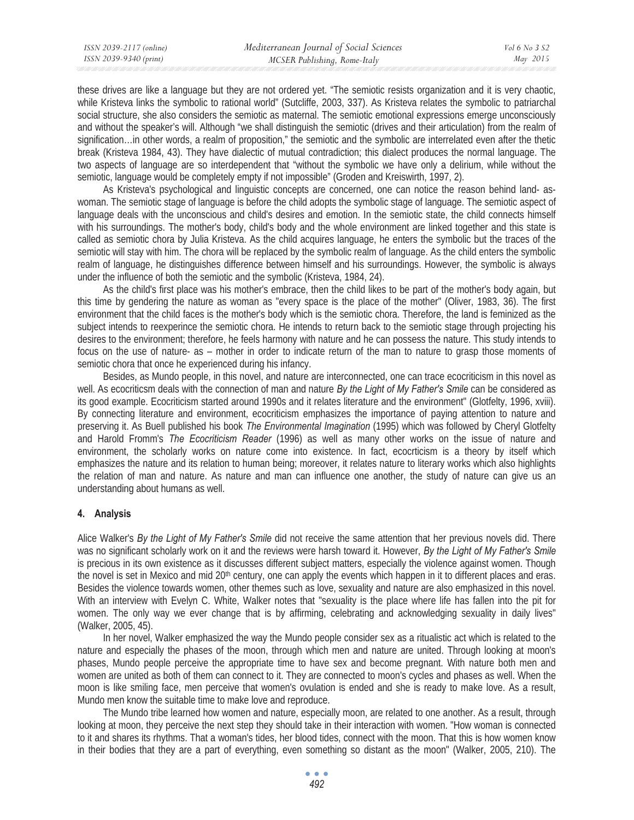these drives are like a language but they are not ordered yet. "The semiotic resists organization and it is very chaotic, while Kristeva links the symbolic to rational world" (Sutcliffe, 2003, 337). As Kristeva relates the symbolic to patriarchal social structure, she also considers the semiotic as maternal. The semiotic emotional expressions emerge unconsciously and without the speaker's will. Although "we shall distinguish the semiotic (drives and their articulation) from the realm of signification…in other words, a realm of proposition," the semiotic and the symbolic are interrelated even after the thetic break (Kristeva 1984, 43). They have dialectic of mutual contradiction; this dialect produces the normal language. The two aspects of language are so interdependent that "without the symbolic we have only a delirium, while without the semiotic, language would be completely empty if not impossible" (Groden and Kreiswirth, 1997, 2).

As Kristeva's psychological and linguistic concepts are concerned, one can notice the reason behind land- aswoman. The semiotic stage of language is before the child adopts the symbolic stage of language. The semiotic aspect of language deals with the unconscious and child's desires and emotion. In the semiotic state, the child connects himself with his surroundings. The mother's body, child's body and the whole environment are linked together and this state is called as semiotic chora by Julia Kristeva. As the child acquires language, he enters the symbolic but the traces of the semiotic will stay with him. The chora will be replaced by the symbolic realm of language. As the child enters the symbolic realm of language, he distinguishes difference between himself and his surroundings. However, the symbolic is always under the influence of both the semiotic and the symbolic (Kristeva, 1984, 24).

As the child's first place was his mother's embrace, then the child likes to be part of the mother's body again, but this time by gendering the nature as woman as "every space is the place of the mother" (Oliver, 1983, 36). The first environment that the child faces is the mother's body which is the semiotic chora. Therefore, the land is feminized as the subject intends to reexperince the semiotic chora. He intends to return back to the semiotic stage through projecting his desires to the environment; therefore, he feels harmony with nature and he can possess the nature. This study intends to focus on the use of nature- as – mother in order to indicate return of the man to nature to grasp those moments of semiotic chora that once he experienced during his infancy.

Besides, as Mundo people, in this novel, and nature are interconnected, one can trace ecocriticism in this novel as well. As ecocriticsm deals with the connection of man and nature *By the Light of My Father's Smile* can be considered as its good example. Ecocriticism started around 1990s and it relates literature and the environment" (Glotfelty, 1996, xviii). By connecting literature and environment, ecocriticism emphasizes the importance of paying attention to nature and preserving it. As Buell published his book *The Environmental Imagination* (1995) which was followed by Cheryl Glotfelty and Harold Fromm's *The Ecocriticism Reader* (1996) as well as many other works on the issue of nature and environment, the scholarly works on nature come into existence. In fact, ecocrticism is a theory by itself which emphasizes the nature and its relation to human being; moreover, it relates nature to literary works which also highlights the relation of man and nature. As nature and man can influence one another, the study of nature can give us an understanding about humans as well.

## **4. Analysis**

Alice Walker's *By the Light of My Father's Smile* did not receive the same attention that her previous novels did. There was no significant scholarly work on it and the reviews were harsh toward it. However, *By the Light of My Father's Smile* is precious in its own existence as it discusses different subject matters, especially the violence against women. Though the novel is set in Mexico and mid 20<sup>th</sup> century, one can apply the events which happen in it to different places and eras. Besides the violence towards women, other themes such as love, sexuality and nature are also emphasized in this novel. With an interview with Evelyn C. White, Walker notes that "sexuality is the place where life has fallen into the pit for women. The only way we ever change that is by affirming, celebrating and acknowledging sexuality in daily lives" (Walker, 2005, 45).

In her novel, Walker emphasized the way the Mundo people consider sex as a ritualistic act which is related to the nature and especially the phases of the moon, through which men and nature are united. Through looking at moon's phases, Mundo people perceive the appropriate time to have sex and become pregnant. With nature both men and women are united as both of them can connect to it. They are connected to moon's cycles and phases as well. When the moon is like smiling face, men perceive that women's ovulation is ended and she is ready to make love. As a result, Mundo men know the suitable time to make love and reproduce.

The Mundo tribe learned how women and nature, especially moon, are related to one another. As a result, through looking at moon, they perceive the next step they should take in their interaction with women. "How woman is connected to it and shares its rhythms. That a woman's tides, her blood tides, connect with the moon. That this is how women know in their bodies that they are a part of everything, even something so distant as the moon" (Walker, 2005, 210). The